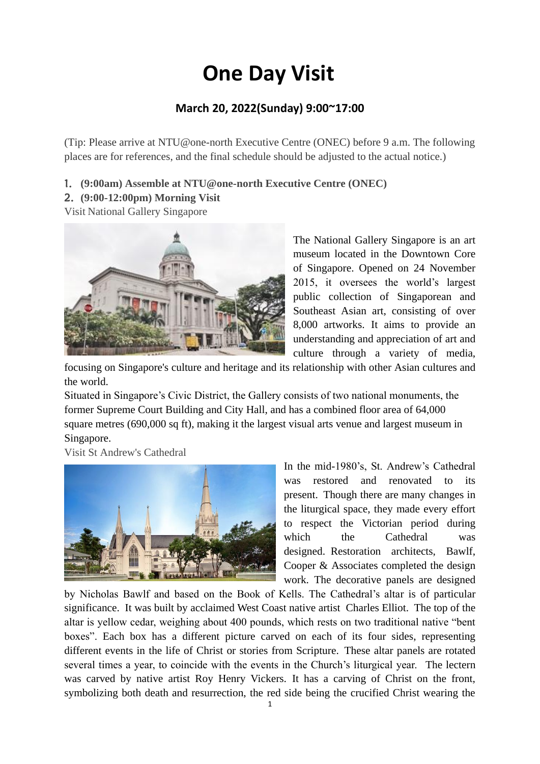# **One Day Visit**

## **March 20, 2022(Sunday) 9:00~17:00**

(Tip: Please arrive at NTU@one-north Executive Centre (ONEC) before 9 a.m. The following places are for references, and the final schedule should be adjusted to the actual notice.)

- 1. **(9:00am) Assemble at NTU@one-north Executive Centre (ONEC)**
- 2. **(9:00-12:00pm) Morning Visit**

Visit National Gallery Singapore



The National Gallery Singapore is an art museum located in the Downtown Core of Singapore. Opened on 24 November 2015, it oversees the world's largest public collection of Singaporean and Southeast Asian art, consisting of over 8,000 artworks. It aims to provide an understanding and appreciation of art and culture through a variety of media,

focusing on Singapore's culture and heritage and its relationship with other Asian cultures and the world.

Situated in Singapore's Civic District, the Gallery consists of two national monuments, the former Supreme Court Building and City Hall, and has a combined floor area of 64,000 square metres (690,000 sq ft), making it the largest visual arts venue and largest museum in Singapore.

Visit St Andrew's Cathedral



In the mid-1980's, St. Andrew's Cathedral was restored and renovated to its present. Though there are many changes in the liturgical space, they made every effort to respect the Victorian period during which the Cathedral was designed. Restoration architects, Bawlf, Cooper & Associates completed the design work. The decorative panels are designed

by Nicholas Bawlf and based on the Book of Kells. The Cathedral's altar is of particular significance. It was built by acclaimed West Coast native artist Charles Elliot. The top of the altar is yellow cedar, weighing about 400 pounds, which rests on two traditional native "bent boxes". Each box has a different picture carved on each of its four sides, representing different events in the life of Christ or stories from Scripture. These altar panels are rotated several times a year, to coincide with the events in the Church's liturgical year. The lectern was carved by native artist Roy Henry Vickers. It has a carving of Christ on the front, symbolizing both death and resurrection, the red side being the crucified Christ wearing the